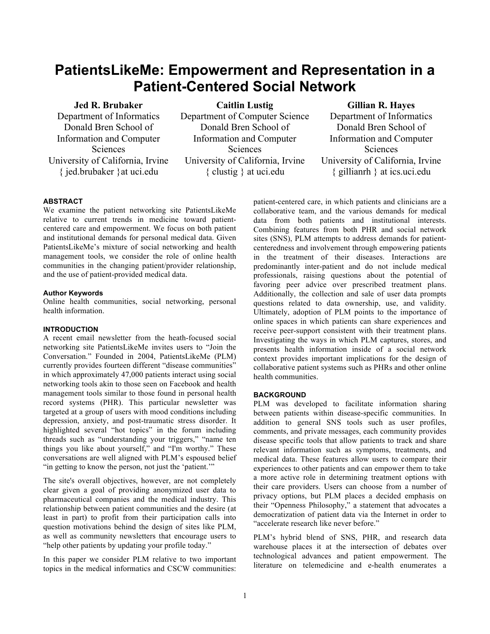# **PatientsLikeMe: Empowerment and Representation in a Patient-Centered Social Network**

# **Jed R. Brubaker**

Department of Informatics Donald Bren School of Information and Computer Sciences University of California, Irvine { jed.brubaker }at uci.edu

**Caitlin Lustig** Department of Computer Science Donald Bren School of Information and Computer **Sciences** University of California, Irvine { clustig } at uci.edu

# **Gillian R. Hayes**

Department of Informatics Donald Bren School of Information and Computer Sciences University of California, Irvine { gillianrh } at ics.uci.edu

#### **ABSTRACT**

We examine the patient networking site PatientsLikeMe relative to current trends in medicine toward patientcentered care and empowerment. We focus on both patient and institutional demands for personal medical data. Given PatientsLikeMe's mixture of social networking and health management tools, we consider the role of online health communities in the changing patient/provider relationship, and the use of patient-provided medical data.

#### **Author Keywords**

Online health communities, social networking, personal health information.

#### **INTRODUCTION**

A recent email newsletter from the heath-focused social networking site PatientsLikeMe invites users to "Join the Conversation." Founded in 2004, PatientsLikeMe (PLM) currently provides fourteen different "disease communities" in which approximately 47,000 patients interact using social networking tools akin to those seen on Facebook and health management tools similar to those found in personal health record systems (PHR). This particular newsletter was targeted at a group of users with mood conditions including depression, anxiety, and post-traumatic stress disorder. It highlighted several "hot topics" in the forum including threads such as "understanding your triggers," "name ten things you like about yourself," and "I'm worthy." These conversations are well aligned with PLM's espoused belief "in getting to know the person, not just the 'patient.'"

The site's overall objectives, however, are not completely clear given a goal of providing anonymized user data to pharmaceutical companies and the medical industry. This relationship between patient communities and the desire (at least in part) to profit from their participation calls into question motivations behind the design of sites like PLM, as well as community newsletters that encourage users to "help other patients by updating your profile today."

In this paper we consider PLM relative to two important topics in the medical informatics and CSCW communities:

patient-centered care, in which patients and clinicians are a collaborative team, and the various demands for medical data from both patients and institutional interests. Combining features from both PHR and social network sites (SNS), PLM attempts to address demands for patientcenteredness and involvement through empowering patients in the treatment of their diseases. Interactions are predominantly inter-patient and do not include medical professionals, raising questions about the potential of favoring peer advice over prescribed treatment plans. Additionally, the collection and sale of user data prompts questions related to data ownership, use, and validity. Ultimately, adoption of PLM points to the importance of online spaces in which patients can share experiences and receive peer-support consistent with their treatment plans. Investigating the ways in which PLM captures, stores, and presents health information inside of a social network context provides important implications for the design of collaborative patient systems such as PHRs and other online health communities.

#### **BACKGROUND**

PLM was developed to facilitate information sharing between patients within disease-specific communities. In addition to general SNS tools such as user profiles, comments, and private messages, each community provides disease specific tools that allow patients to track and share relevant information such as symptoms, treatments, and medical data. These features allow users to compare their experiences to other patients and can empower them to take a more active role in determining treatment options with their care providers. Users can choose from a number of privacy options, but PLM places a decided emphasis on their "Openness Philosophy," a statement that advocates a democratization of patient data via the Internet in order to "accelerate research like never before."

PLM's hybrid blend of SNS, PHR, and research data warehouse places it at the intersection of debates over technological advances and patient empowerment. The literature on telemedicine and e-health enumerates a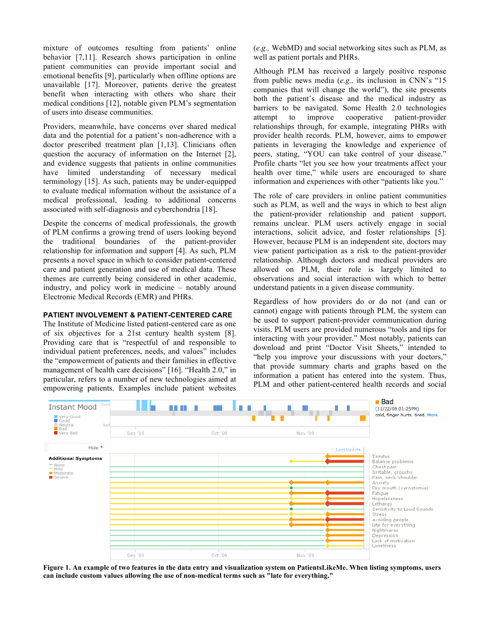mixture of outcomes resulting from patients' online behavior [7,11]. Research shows participation in online patient communities can provide important social and emotional benefits [9], particularly when offline options are unavailable [17]. Moreover, patients derive the greatest benefit when interacting with others who share their medical conditions [12], notable given PLM's segmentation of users into disease communities.

Providers, meanwhile, have concerns over shared medical data and the potential for a patient's non-adherence with a doctor prescribed treatment plan [1,13]. Clinicians often question the accuracy of information on the Internet [2], and evidence suggests that patients in online communities have limited understanding of necessary medical terminology [15]. As such, patients may be under-equipped to evaluate medical information without the assistance of a medical professional, leading to additional concerns associated with self-diagnosis and cyberchondria [18].

Despite the concerns of medical professionals, the growth of PLM confirms a growing trend of users looking beyond the traditional boundaries of the patient-provider relationship for information and support [4]. As such, PLM presents a novel space in which to consider patient-centered care and patient generation and use of medical data. These themes are currently being considered in other academic, industry, and policy work in medicine – notably around Electronic Medical Records (EMR) and PHRs.

#### **PATIENT INVOLVEMENT & PATIENT-CENTERED CARE**

The Institute of Medicine listed patient-centered care as one of six objectives for a 21st century health system [8]. Providing care that is "respectful of and responsible to individual patient preferences, needs, and values" includes the "empowerment of patients and their families in effective management of health care decisions" [16]. "Health 2.0," in particular, refers to a number of new technologies aimed at empowering patients. Examples include patient websites (*e.g.,* WebMD) and social networking sites such as PLM, as well as patient portals and PHRs.

Although PLM has received a largely positive response from public news media (*e.g.,* its inclusion in CNN's "15 companies that will change the world"), the site presents both the patient's disease and the medical industry as barriers to be navigated. Some Health 2.0 technologies attempt to improve cooperative patient-provider relationships through, for example, integrating PHRs with provider health records. PLM, however, aims to empower patients in leveraging the knowledge and experience of peers, stating, "YOU can take control of your disease." Profile charts "let you see how your treatments affect your health over time," while users are encouraged to share information and experiences with other "patients like you."

The role of care providers in online patient communities such as PLM, as well and the ways in which to best align the patient-provider relationship and patient support, remains unclear. PLM users actively engage in social interactions, solicit advice, and foster relationships [5]. However, because PLM is an independent site, doctors may view patient participation as a risk to the patient-provider relationship. Although doctors and medical providers are allowed on PLM, their role is largely limited to observations and social interaction with which to better understand patients in a given disease community.

Regardless of how providers do or do not (and can or cannot) engage with patients through PLM, the system can be used to support patient-provider communication during visits. PLM users are provided numerous "tools and tips for interacting with your provider." Most notably, patients can download and print "Doctor Visit Sheets," intended to "help you improve your discussions with your doctors," that provide summary charts and graphs based on the information a patient has entered into the system. Thus, PLM and other patient-centered health records and social



**Figure 1. An example of two features in the data entry and visualization system on PatientsLikeMe. When listing symptoms, users can include custom values allowing the use of non-medical terms such as "late for everything."**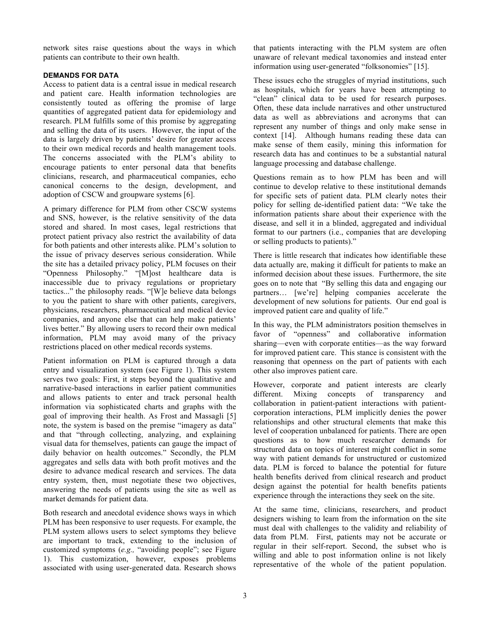network sites raise questions about the ways in which patients can contribute to their own health.

# **DEMANDS FOR DATA**

Access to patient data is a central issue in medical research and patient care. Health information technologies are consistently touted as offering the promise of large quantities of aggregated patient data for epidemiology and research. PLM fulfills some of this promise by aggregating and selling the data of its users. However, the input of the data is largely driven by patients' desire for greater access to their own medical records and health management tools. The concerns associated with the PLM's ability to encourage patients to enter personal data that benefits clinicians, research, and pharmaceutical companies, echo canonical concerns to the design, development, and adoption of CSCW and groupware systems [6].

A primary difference for PLM from other CSCW systems and SNS, however, is the relative sensitivity of the data stored and shared. In most cases, legal restrictions that protect patient privacy also restrict the availability of data for both patients and other interests alike. PLM's solution to the issue of privacy deserves serious consideration. While the site has a detailed privacy policy, PLM focuses on their "Openness Philosophy." "[M]ost healthcare data is inaccessible due to privacy regulations or proprietary tactics..." the philosophy reads. "[W]e believe data belongs to you the patient to share with other patients, caregivers, physicians, researchers, pharmaceutical and medical device companies, and anyone else that can help make patients' lives better." By allowing users to record their own medical information, PLM may avoid many of the privacy restrictions placed on other medical records systems.

Patient information on PLM is captured through a data entry and visualization system (see Figure 1). This system serves two goals: First, it steps beyond the qualitative and narrative-based interactions in earlier patient communities and allows patients to enter and track personal health information via sophisticated charts and graphs with the goal of improving their health. As Frost and Massagli [5] note, the system is based on the premise "imagery as data" and that "through collecting, analyzing, and explaining visual data for themselves, patients can gauge the impact of daily behavior on health outcomes." Secondly, the PLM aggregates and sells data with both profit motives and the desire to advance medical research and services. The data entry system, then, must negotiate these two objectives, answering the needs of patients using the site as well as market demands for patient data.

Both research and anecdotal evidence shows ways in which PLM has been responsive to user requests. For example, the PLM system allows users to select symptoms they believe are important to track, extending to the inclusion of customized symptoms (*e.g.,* "avoiding people"; see Figure 1). This customization, however, exposes problems associated with using user-generated data. Research shows

that patients interacting with the PLM system are often unaware of relevant medical taxonomies and instead enter information using user-generated "folksonomies" [15].

These issues echo the struggles of myriad institutions, such as hospitals, which for years have been attempting to "clean" clinical data to be used for research purposes. Often, these data include narratives and other unstructured data as well as abbreviations and acronyms that can represent any number of things and only make sense in context [14]. Although humans reading these data can make sense of them easily, mining this information for research data has and continues to be a substantial natural language processing and database challenge.

Questions remain as to how PLM has been and will continue to develop relative to these institutional demands for specific sets of patient data. PLM clearly notes their policy for selling de-identified patient data: "We take the information patients share about their experience with the disease, and sell it in a blinded, aggregated and individual format to our partners (i.e., companies that are developing or selling products to patients)."

There is little research that indicates how identifiable these data actually are, making it difficult for patients to make an informed decision about these issues. Furthermore, the site goes on to note that "By selling this data and engaging our partners… [we're] helping companies accelerate the development of new solutions for patients. Our end goal is improved patient care and quality of life."

In this way, the PLM administrators position themselves in favor of "openness" and collaborative information sharing—even with corporate entities—as the way forward for improved patient care. This stance is consistent with the reasoning that openness on the part of patients with each other also improves patient care.

However, corporate and patient interests are clearly different. Mixing concepts of transparency and collaboration in patient-patient interactions with patientcorporation interactions, PLM implicitly denies the power relationships and other structural elements that make this level of cooperation unbalanced for patients. There are open questions as to how much researcher demands for structured data on topics of interest might conflict in some way with patient demands for unstructured or customized data. PLM is forced to balance the potential for future health benefits derived from clinical research and product design against the potential for health benefits patients experience through the interactions they seek on the site.

At the same time, clinicians, researchers, and product designers wishing to learn from the information on the site must deal with challenges to the validity and reliability of data from PLM. First, patients may not be accurate or regular in their self-report. Second, the subset who is willing and able to post information online is not likely representative of the whole of the patient population.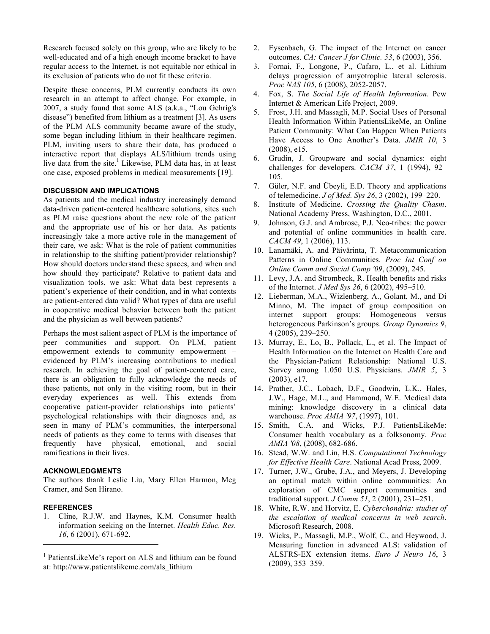Research focused solely on this group, who are likely to be well-educated and of a high enough income bracket to have regular access to the Internet, is not equitable nor ethical in its exclusion of patients who do not fit these criteria.

Despite these concerns, PLM currently conducts its own research in an attempt to affect change. For example, in 2007, a study found that some ALS (a.k.a., "Lou Gehrig's disease") benefited from lithium as a treatment [3]. As users of the PLM ALS community became aware of the study, some began including lithium in their healthcare regimen. PLM, inviting users to share their data, has produced a interactive report that displays ALS/lithium trends using live data from the site.<sup>1</sup> Likewise, PLM data has, in at least one case, exposed problems in medical measurements [19].

### **DISCUSSION AND IMPLICATIONS**

As patients and the medical industry increasingly demand data-driven patient-centered healthcare solutions, sites such as PLM raise questions about the new role of the patient and the appropriate use of his or her data. As patients increasingly take a more active role in the management of their care, we ask: What is the role of patient communities in relationship to the shifting patient/provider relationship? How should doctors understand these spaces, and when and how should they participate? Relative to patient data and visualization tools, we ask: What data best represents a patient's experience of their condition, and in what contexts are patient-entered data valid? What types of data are useful in cooperative medical behavior between both the patient and the physician as well between patients?

Perhaps the most salient aspect of PLM is the importance of peer communities and support. On PLM, patient empowerment extends to community empowerment – evidenced by PLM's increasing contributions to medical research. In achieving the goal of patient-centered care, there is an obligation to fully acknowledge the needs of these patients, not only in the visiting room, but in their everyday experiences as well. This extends from cooperative patient-provider relationships into patients' psychological relationships with their diagnoses and, as seen in many of PLM's communities, the interpersonal needs of patients as they come to terms with diseases that frequently have physical, emotional, and social ramifications in their lives.

## **ACKNOWLEDGMENTS**

The authors thank Leslie Liu, Mary Ellen Harmon, Meg Cramer, and Sen Hirano.

#### **REFERENCES**

 $\overline{a}$ 

1. Cline, R.J.W. and Haynes, K.M. Consumer health information seeking on the Internet. *Health Educ. Res. 16*, 6 (2001), 671-692.

- 2. Eysenbach, G. The impact of the Internet on cancer outcomes. *CA: Cancer J for Clinic. 53*, 6 (2003), 356.
- 3. Fornai, F., Longone, P., Cafaro, L., et al. Lithium delays progression of amyotrophic lateral sclerosis. *Proc NAS 105*, 6 (2008), 2052-2057.
- 4. Fox, S. *The Social Life of Health Information*. Pew Internet & American Life Project, 2009.
- 5. Frost, J.H. and Massagli, M.P. Social Uses of Personal Health Information Within PatientsLikeMe, an Online Patient Community: What Can Happen When Patients Have Access to One Another's Data. *JMIR 10*, 3 (2008), e15.
- 6. Grudin, J. Groupware and social dynamics: eight challenges for developers. *CACM 37*, 1 (1994), 92– 105.
- 7. Güler, N.F. and Übeyli, E.D. Theory and applications of telemedicine. *J of Med. Sys 26*, 3 (2002), 199–220.
- 8. Institute of Medicine. *Crossing the Quality Chasm*. National Academy Press, Washington, D.C., 2001.
- 9. Johnson, G.J. and Ambrose, P.J. Neo-tribes: the power and potential of online communities in health care. *CACM 49*, 1 (2006), 113.
- 10. Lanamäki, A. and Päivärinta, T. Metacommunication Patterns in Online Communities. *Proc Int Conf on Online Comm and Social Comp '09*, (2009), 245.
- 11. Levy, J.A. and Strombeck, R. Health benefits and risks of the Internet. *J Med Sys 26*, 6 (2002), 495–510.
- 12. Lieberman, M.A., Wizlenberg, A., Golant, M., and Di Minno, M. The impact of group composition on internet support groups: Homogeneous versus heterogeneous Parkinson's groups. *Group Dynamics 9*, 4 (2005), 239–250.
- 13. Murray, E., Lo, B., Pollack, L., et al. The Impact of Health Information on the Internet on Health Care and the Physician-Patient Relationship: National U.S. Survey among 1.050 U.S. Physicians. *JMIR 5*, 3 (2003), e17.
- 14. Prather, J.C., Lobach, D.F., Goodwin, L.K., Hales, J.W., Hage, M.L., and Hammond, W.E. Medical data mining: knowledge discovery in a clinical data warehouse. *Proc AMIA '97*, (1997), 101.
- 15. Smith, C.A. and Wicks, P.J. PatientsLikeMe: Consumer health vocabulary as a folksonomy. *Proc AMIA '08*, (2008), 682-686.
- 16. Stead, W.W. and Lin, H.S. *Computational Technology for Effective Health Care*. National Acad Press, 2009.
- 17. Turner, J.W., Grube, J.A., and Meyers, J. Developing an optimal match within online communities: An exploration of CMC support communities and traditional support. *J Comm 51*, 2 (2001), 231–251.
- 18. White, R.W. and Horvitz, E. *Cyberchondria: studies of the escalation of medical concerns in web search*. Microsoft Research, 2008.
- 19. Wicks, P., Massagli, M.P., Wolf, C., and Heywood, J. Measuring function in advanced ALS: validation of ALSFRS-EX extension items. *Euro J Neuro 16*, 3 (2009), 353–359.

<sup>&</sup>lt;sup>1</sup> PatientsLikeMe's report on ALS and lithium can be found at: http://www.patientslikeme.com/als\_lithium